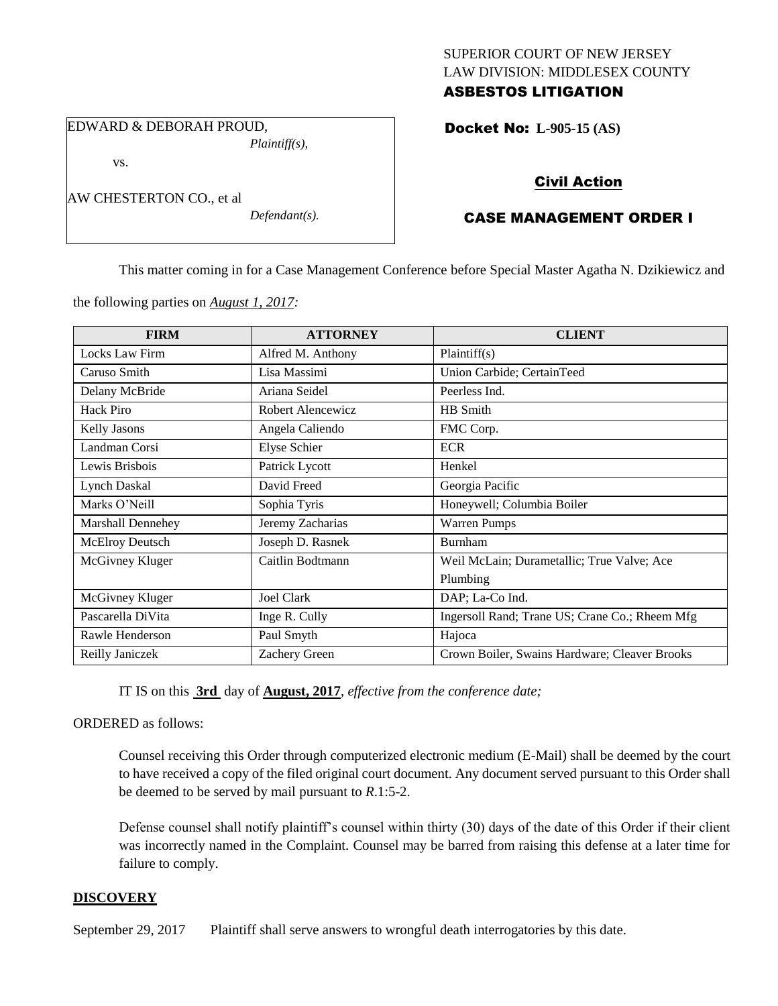# SUPERIOR COURT OF NEW JERSEY LAW DIVISION: MIDDLESEX COUNTY ASBESTOS LITIGATION

EDWARD & DEBORAH PROUD, *Plaintiff(s),*

vs.

AW CHESTERTON CO., et al

*Defendant(s).*

Docket No: **L-905-15 (AS)** 

# Civil Action

# CASE MANAGEMENT ORDER I

This matter coming in for a Case Management Conference before Special Master Agatha N. Dzikiewicz and

the following parties on *August 1, 2017:*

| <b>FIRM</b>         | <b>ATTORNEY</b>     | <b>CLIENT</b>                                  |
|---------------------|---------------------|------------------------------------------------|
| Locks Law Firm      | Alfred M. Anthony   | Plaintiff(s)                                   |
| Caruso Smith        | Lisa Massimi        | Union Carbide; CertainTeed                     |
| Delany McBride      | Ariana Seidel       | Peerless Ind.                                  |
| Hack Piro           | Robert Alencewicz   | HB Smith                                       |
| <b>Kelly Jasons</b> | Angela Caliendo     | FMC Corp.                                      |
| Landman Corsi       | <b>Elyse Schier</b> | <b>ECR</b>                                     |
| Lewis Brisbois      | Patrick Lycott      | Henkel                                         |
| Lynch Daskal        | David Freed         | Georgia Pacific                                |
| Marks O'Neill       | Sophia Tyris        | Honeywell; Columbia Boiler                     |
| Marshall Dennehey   | Jeremy Zacharias    | <b>Warren Pumps</b>                            |
| McElroy Deutsch     | Joseph D. Rasnek    | <b>Burnham</b>                                 |
| McGivney Kluger     | Caitlin Bodtmann    | Weil McLain; Durametallic; True Valve; Ace     |
|                     |                     | Plumbing                                       |
| McGivney Kluger     | Joel Clark          | DAP; La-Co Ind.                                |
| Pascarella DiVita   | Inge R. Cully       | Ingersoll Rand; Trane US; Crane Co.; Rheem Mfg |
| Rawle Henderson     | Paul Smyth          | Hajoca                                         |
| Reilly Janiczek     | Zachery Green       | Crown Boiler, Swains Hardware; Cleaver Brooks  |

IT IS on this **3rd** day of **August, 2017**, *effective from the conference date;*

ORDERED as follows:

Counsel receiving this Order through computerized electronic medium (E-Mail) shall be deemed by the court to have received a copy of the filed original court document. Any document served pursuant to this Order shall be deemed to be served by mail pursuant to *R*.1:5-2.

Defense counsel shall notify plaintiff's counsel within thirty (30) days of the date of this Order if their client was incorrectly named in the Complaint. Counsel may be barred from raising this defense at a later time for failure to comply.

# **DISCOVERY**

September 29, 2017 Plaintiff shall serve answers to wrongful death interrogatories by this date.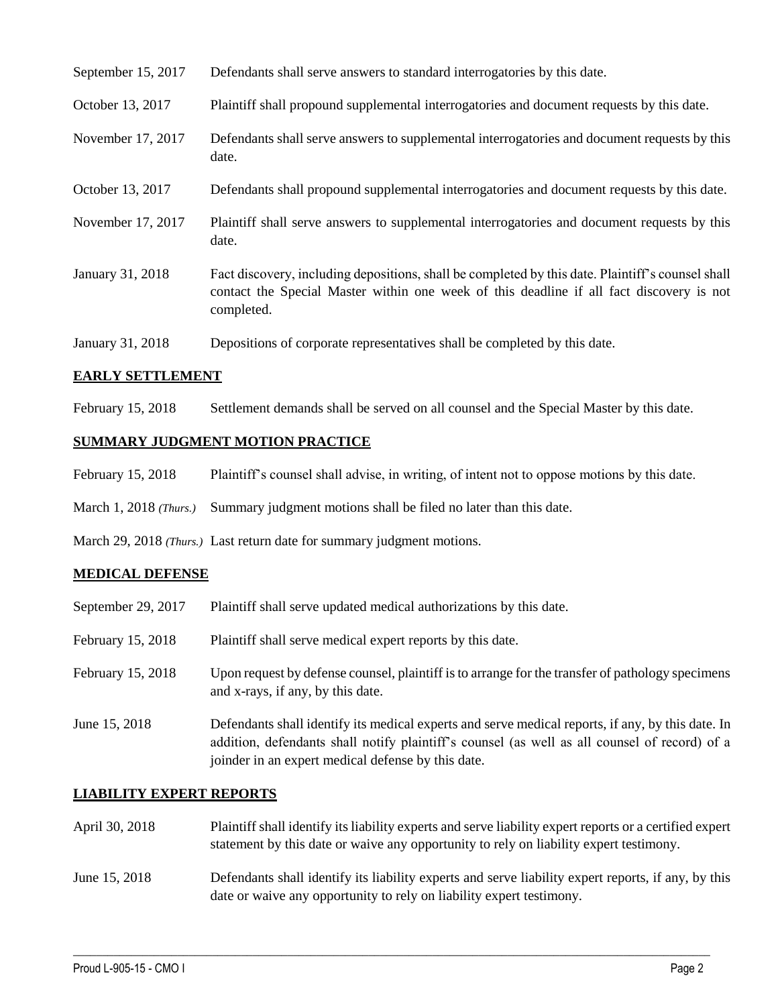| September 15, 2017 | Defendants shall serve answers to standard interrogatories by this date.                                                                                                                                    |
|--------------------|-------------------------------------------------------------------------------------------------------------------------------------------------------------------------------------------------------------|
| October 13, 2017   | Plaintiff shall propound supplemental interrogatories and document requests by this date.                                                                                                                   |
| November 17, 2017  | Defendants shall serve answers to supplemental interrogatories and document requests by this<br>date.                                                                                                       |
| October 13, 2017   | Defendants shall propound supplemental interrogatories and document requests by this date.                                                                                                                  |
| November 17, 2017  | Plaintiff shall serve answers to supplemental interrogatories and document requests by this<br>date.                                                                                                        |
| January 31, 2018   | Fact discovery, including depositions, shall be completed by this date. Plaintiff's counsel shall<br>contact the Special Master within one week of this deadline if all fact discovery is not<br>completed. |
| January 31, 2018   | Depositions of corporate representatives shall be completed by this date.                                                                                                                                   |

## **EARLY SETTLEMENT**

February 15, 2018 Settlement demands shall be served on all counsel and the Special Master by this date.

# **SUMMARY JUDGMENT MOTION PRACTICE**

- February 15, 2018 Plaintiff's counsel shall advise, in writing, of intent not to oppose motions by this date.
- March 1, 2018 (Thurs.) Summary judgment motions shall be filed no later than this date.

March 29, 2018 *(Thurs.)* Last return date for summary judgment motions.

## **MEDICAL DEFENSE**

| September 29, 2017 | Plaintiff shall serve updated medical authorizations by this date.                                                                                                                                                                                       |
|--------------------|----------------------------------------------------------------------------------------------------------------------------------------------------------------------------------------------------------------------------------------------------------|
| February 15, 2018  | Plaintiff shall serve medical expert reports by this date.                                                                                                                                                                                               |
| February 15, 2018  | Upon request by defense counsel, plaintiff is to arrange for the transfer of pathology specimens<br>and x-rays, if any, by this date.                                                                                                                    |
| June 15, 2018      | Defendants shall identify its medical experts and serve medical reports, if any, by this date. In<br>addition, defendants shall notify plaintiff's counsel (as well as all counsel of record) of a<br>joinder in an expert medical defense by this date. |

## **LIABILITY EXPERT REPORTS**

| April 30, 2018 | Plaintiff shall identify its liability experts and serve liability expert reports or a certified expert |
|----------------|---------------------------------------------------------------------------------------------------------|
|                | statement by this date or waive any opportunity to rely on liability expert testimony.                  |

June 15, 2018 Defendants shall identify its liability experts and serve liability expert reports, if any, by this date or waive any opportunity to rely on liability expert testimony.

 $\_$  ,  $\_$  ,  $\_$  ,  $\_$  ,  $\_$  ,  $\_$  ,  $\_$  ,  $\_$  ,  $\_$  ,  $\_$  ,  $\_$  ,  $\_$  ,  $\_$  ,  $\_$  ,  $\_$  ,  $\_$  ,  $\_$  ,  $\_$  ,  $\_$  ,  $\_$  ,  $\_$  ,  $\_$  ,  $\_$  ,  $\_$  ,  $\_$  ,  $\_$  ,  $\_$  ,  $\_$  ,  $\_$  ,  $\_$  ,  $\_$  ,  $\_$  ,  $\_$  ,  $\_$  ,  $\_$  ,  $\_$  ,  $\_$  ,